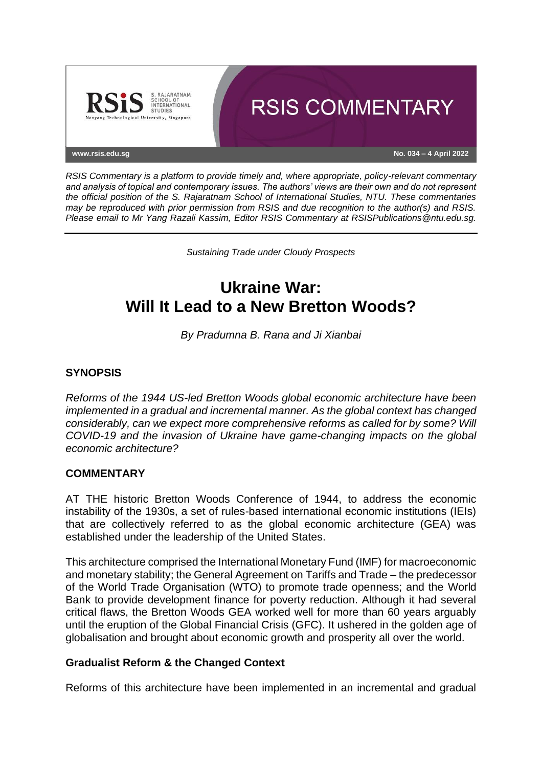

*RSIS Commentary is a platform to provide timely and, where appropriate, policy-relevant commentary and analysis of topical and contemporary issues. The authors' views are their own and do not represent the official position of the S. Rajaratnam School of International Studies, NTU. These commentaries may be reproduced with prior permission from RSIS and due recognition to the author(s) and RSIS. Please email to Mr Yang Razali Kassim, Editor RSIS Commentary at RSISPublications@ntu.edu.sg.*

*Sustaining Trade under Cloudy Prospects*

# **Ukraine War: Will It Lead to a New Bretton Woods?**

*By Pradumna B. Rana and Ji Xianbai*

### **SYNOPSIS**

*Reforms of the 1944 US-led Bretton Woods global economic architecture have been implemented in a gradual and incremental manner. As the global context has changed considerably, can we expect more comprehensive reforms as called for by some? Will COVID-19 and the invasion of Ukraine have game-changing impacts on the global economic architecture?*

#### **COMMENTARY**

AT THE historic Bretton Woods Conference of 1944, to address the economic instability of the 1930s, a set of rules-based international economic institutions (IEIs) that are collectively referred to as the global economic architecture (GEA) was established under the leadership of the United States.

This architecture comprised the International Monetary Fund (IMF) for macroeconomic and monetary stability; the General Agreement on Tariffs and Trade – the predecessor of the World Trade Organisation (WTO) to promote trade openness; and the World Bank to provide development finance for poverty reduction. Although it had several critical flaws, the Bretton Woods GEA worked well for more than 60 years arguably until the eruption of the Global Financial Crisis (GFC). It ushered in the golden age of globalisation and brought about economic growth and prosperity all over the world.

#### **Gradualist Reform & the Changed Context**

Reforms of this architecture have been implemented in an incremental and gradual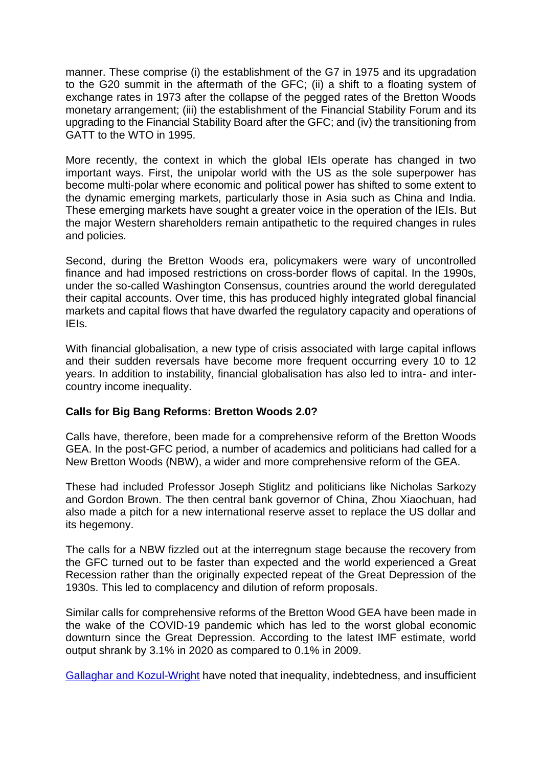manner. These comprise (i) the establishment of the G7 in 1975 and its upgradation to the G20 summit in the aftermath of the GFC; (ii) a shift to a floating system of exchange rates in 1973 after the collapse of the pegged rates of the Bretton Woods monetary arrangement; (iii) the establishment of the Financial Stability Forum and its upgrading to the Financial Stability Board after the GFC; and (iv) the transitioning from GATT to the WTO in 1995.

More recently, the context in which the global IEIs operate has changed in two important ways. First, the unipolar world with the US as the sole superpower has become multi-polar where economic and political power has shifted to some extent to the dynamic emerging markets, particularly those in Asia such as China and India. These emerging markets have sought a greater voice in the operation of the IEIs. But the major Western shareholders remain antipathetic to the required changes in rules and policies.

Second, during the Bretton Woods era, policymakers were wary of uncontrolled finance and had imposed restrictions on cross-border flows of capital. In the 1990s, under the so-called Washington Consensus, countries around the world deregulated their capital accounts. Over time, this has produced highly integrated global financial markets and capital flows that have dwarfed the regulatory capacity and operations of IEIs.

With financial globalisation, a new type of crisis associated with large capital inflows and their sudden reversals have become more frequent occurring every 10 to 12 years. In addition to instability, financial globalisation has also led to intra- and intercountry income inequality.

## **Calls for Big Bang Reforms: Bretton Woods 2.0?**

Calls have, therefore, been made for a comprehensive reform of the Bretton Woods GEA. In the post-GFC period, a number of academics and politicians had called for a New Bretton Woods (NBW), a wider and more comprehensive reform of the GEA.

These had included Professor Joseph Stiglitz and politicians like Nicholas Sarkozy and Gordon Brown. The then central bank governor of China, Zhou Xiaochuan, had also made a pitch for a new international reserve asset to replace the US dollar and its hegemony.

The calls for a NBW fizzled out at the interregnum stage because the recovery from the GFC turned out to be faster than expected and the world experienced a Great Recession rather than the originally expected repeat of the Great Depression of the 1930s. This led to complacency and dilution of reform proposals.

Similar calls for comprehensive reforms of the Bretton Wood GEA have been made in the wake of the COVID-19 pandemic which has led to the worst global economic downturn since the Great Depression. According to the latest IMF estimate, world output shrank by 3.1% in 2020 as compared to 0.1% in 2009.

[Gallaghar and Kozul-Wright](https://www.aljazeera.com/opinions/2022/2/21/it-is-time-for-a-new-bretton-woods-moment) have noted that inequality, indebtedness, and insufficient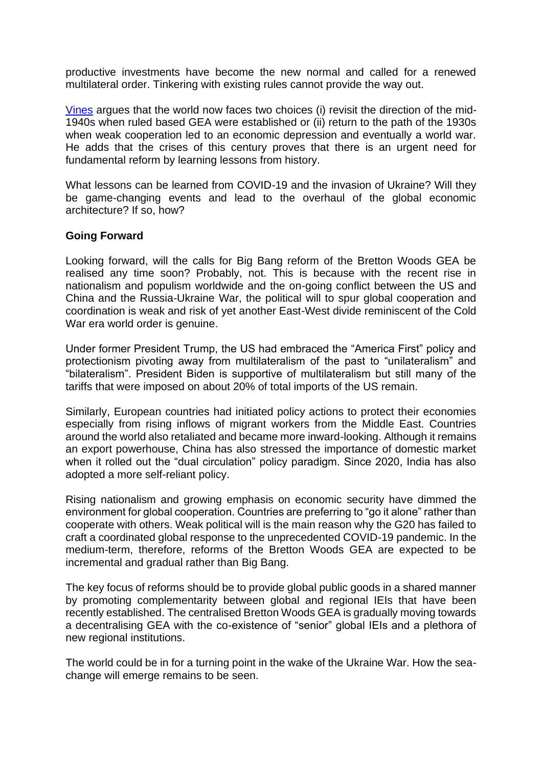productive investments have become the new normal and called for a renewed multilateral order. Tinkering with existing rules cannot provide the way out.

[Vines](https://www.eastasiaforum.org/2020/11/15/asias-stake-in-global-cooperation-through-the-g20/) argues that the world now faces two choices (i) revisit the direction of the mid-1940s when ruled based GEA were established or (ii) return to the path of the 1930s when weak cooperation led to an economic depression and eventually a world war. He adds that the crises of this century proves that there is an urgent need for fundamental reform by learning lessons from history.

What lessons can be learned from COVID-19 and the invasion of Ukraine? Will they be game-changing events and lead to the overhaul of the global economic architecture? If so, how?

#### **Going Forward**

Looking forward, will the calls for Big Bang reform of the Bretton Woods GEA be realised any time soon? Probably, not. This is because with the recent rise in nationalism and populism worldwide and the on-going conflict between the US and China and the Russia-Ukraine War, the political will to spur global cooperation and coordination is weak and risk of yet another East-West divide reminiscent of the Cold War era world order is genuine.

Under former President Trump, the US had embraced the "America First" policy and protectionism pivoting away from multilateralism of the past to "unilateralism" and "bilateralism". President Biden is supportive of multilateralism but still many of the tariffs that were imposed on about 20% of total imports of the US remain.

Similarly, European countries had initiated policy actions to protect their economies especially from rising inflows of migrant workers from the Middle East. Countries around the world also retaliated and became more inward-looking. Although it remains an export powerhouse, China has also stressed the importance of domestic market when it rolled out the "dual circulation" policy paradigm. Since 2020, India has also adopted a more self-reliant policy.

Rising nationalism and growing emphasis on economic security have dimmed the environment for global cooperation. Countries are preferring to "go it alone" rather than cooperate with others. Weak political will is the main reason why the G20 has failed to craft a coordinated global response to the unprecedented COVID-19 pandemic. In the medium-term, therefore, reforms of the Bretton Woods GEA are expected to be incremental and gradual rather than Big Bang.

The key focus of reforms should be to provide global public goods in a shared manner by promoting complementarity between global and regional IEIs that have been recently established. The centralised Bretton Woods GEA is gradually moving towards a decentralising GEA with the co-existence of "senior" global IEIs and a plethora of new regional institutions.

The world could be in for a turning point in the wake of the Ukraine War. How the seachange will emerge remains to be seen.